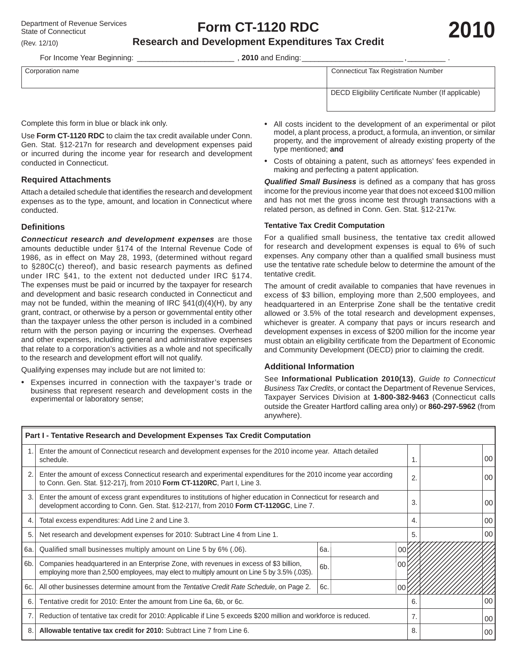# **Form CT-1120 RDC**

# **Research and Development Expenditures Tax Credit**

For Income Year Beginning: **Example 2010** and Ending:

| Corporation name | <b>Connecticut Tax Registration Number</b>          |
|------------------|-----------------------------------------------------|
|                  |                                                     |
|                  |                                                     |
|                  |                                                     |
|                  | DECD Eligibility Certificate Number (If applicable) |
|                  |                                                     |
|                  |                                                     |
|                  |                                                     |

Complete this form in blue or black ink only.

Use **Form CT-1120 RDC** to claim the tax credit available under Conn. Gen. Stat. §12-217n for research and development expenses paid or incurred during the income year for research and development conducted in Connecticut.

#### **Required Attachments**

Attach a detailed schedule that identifies the research and development expenses as to the type, amount, and location in Connecticut where conducted.

#### **Defi nitions**

*Connecticut research and development expenses* are those amounts deductible under §174 of the Internal Revenue Code of 1986, as in effect on May 28, 1993, (determined without regard to §280C(c) thereof), and basic research payments as defined under IRC §41, to the extent not deducted under IRC §174. The expenses must be paid or incurred by the taxpayer for research and development and basic research conducted in Connecticut and may not be funded, within the meaning of IRC §41(d)(4)(H), by any grant, contract, or otherwise by a person or governmental entity other than the taxpayer unless the other person is included in a combined return with the person paying or incurring the expenses. Overhead and other expenses, including general and administrative expenses that relate to a corporation's activities as a whole and not specifically to the research and development effort will not qualify.

Qualifying expenses may include but are not limited to:

• Expenses incurred in connection with the taxpayer's trade or business that represent research and development costs in the experimental or laboratory sense;

- All costs incident to the development of an experimental or pilot model, a plant process, a product, a formula, an invention, or similar property, and the improvement of already existing property of the type mentioned; **and**
- Costs of obtaining a patent, such as attorneys' fees expended in making and perfecting a patent application.

**Qualified Small Business** is defined as a company that has gross income for the previous income year that does not exceed \$100 million and has not met the gross income test through transactions with a related person, as defined in Conn. Gen. Stat. §12-217w.

#### **Tentative Tax Credit Computation**

For a qualified small business, the tentative tax credit allowed for research and development expenses is equal to 6% of such expenses. Any company other than a qualified small business must use the tentative rate schedule below to determine the amount of the tentative credit.

The amount of credit available to companies that have revenues in excess of \$3 billion, employing more than 2,500 employees, and headquartered in an Enterprise Zone shall be the tentative credit allowed or 3.5% of the total research and development expenses, whichever is greater. A company that pays or incurs research and development expenses in excess of \$200 million for the income year must obtain an eligibility certificate from the Department of Economic and Community Development (DECD) prior to claiming the credit.

# **Additional Information**

See **Informational Publication 2010(13)**, *Guide to Connecticut Business Tax Credits*, or contact the Department of Revenue Services, Taxpayer Services Division at **1-800-382-9463** (Connecticut calls outside the Greater Hartford calling area only) or **860-297-5962** (from anywhere).

| Part I - Tentative Research and Development Expenses Tax Credit Computation |                                                                                                                                                                                                            |               |    |    |                 |  |                 |  |
|-----------------------------------------------------------------------------|------------------------------------------------------------------------------------------------------------------------------------------------------------------------------------------------------------|---------------|----|----|-----------------|--|-----------------|--|
|                                                                             | Enter the amount of Connecticut research and development expenses for the 2010 income year. Attach detailed<br>schedule.                                                                                   |               |    |    | 00 <sup>1</sup> |  |                 |  |
| 2.                                                                          | Enter the amount of excess Connecticut research and experimental expenditures for the 2010 income year according<br>to Conn. Gen. Stat. §12-217j, from 2010 Form CT-1120RC, Part I, Line 3.                |               | 2. |    | 00 <sup>°</sup> |  |                 |  |
| 3.                                                                          | Enter the amount of excess grant expenditures to institutions of higher education in Connecticut for research and<br>development according to Conn. Gen. Stat. §12-2171, from 2010 Form CT-1120GC, Line 7. |               | 3. |    | 00 <sup>1</sup> |  |                 |  |
| $\overline{4}$                                                              | Total excess expenditures: Add Line 2 and Line 3.                                                                                                                                                          |               | 4. |    | 00 <sup>1</sup> |  |                 |  |
| 5                                                                           | Net research and development expenses for 2010: Subtract Line 4 from Line 1.                                                                                                                               |               |    |    |                 |  | $00\,$          |  |
| 6а.                                                                         | Qualified small businesses multiply amount on Line 5 by 6% (.06).                                                                                                                                          | 6а.<br>$00\,$ |    |    |                 |  |                 |  |
| 6b.                                                                         | Companies headquartered in an Enterprise Zone, with revenues in excess of \$3 billion,<br>employing more than 2,500 employees, may elect to multiply amount on Line 5 by 3.5% (.035).                      | 6b.           |    | 00 |                 |  |                 |  |
| 6с.                                                                         | All other businesses determine amount from the Tentative Credit Rate Schedule, on Page 2.                                                                                                                  | 6c.           |    | 00 |                 |  |                 |  |
| 6.                                                                          | Tentative credit for 2010: Enter the amount from Line 6a, 6b, or 6c.                                                                                                                                       |               |    |    |                 |  | 00 <sup>1</sup> |  |
| 7.                                                                          | Reduction of tentative tax credit for 2010: Applicable if Line 5 exceeds \$200 million and workforce is reduced.                                                                                           |               |    |    |                 |  | 00              |  |
| 8                                                                           | Allowable tentative tax credit for 2010: Subtract Line 7 from Line 6.                                                                                                                                      |               | 8. |    | 00              |  |                 |  |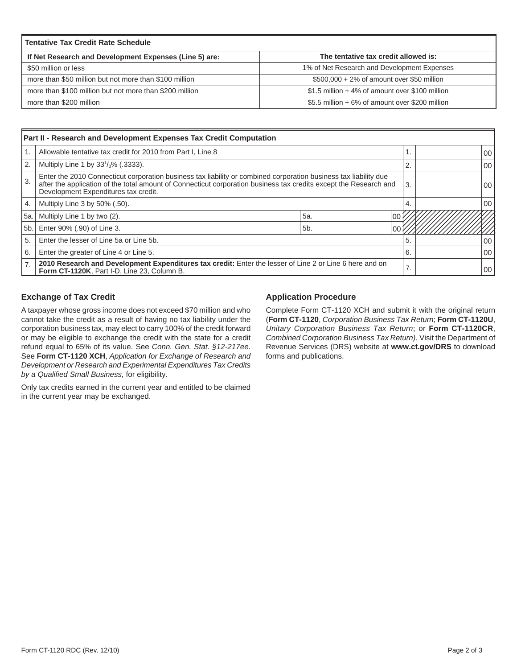| <b>Tentative Tax Credit Rate Schedule</b>               |                                                  |  |  |  |  |  |  |
|---------------------------------------------------------|--------------------------------------------------|--|--|--|--|--|--|
| If Net Research and Development Expenses (Line 5) are:  | The tentative tax credit allowed is:             |  |  |  |  |  |  |
| \$50 million or less                                    | 1% of Net Research and Development Expenses      |  |  |  |  |  |  |
| more than \$50 million but not more than \$100 million  | $$500,000 + 2\%$ of amount over \$50 million     |  |  |  |  |  |  |
| more than \$100 million but not more than \$200 million | $$1.5$ million + 4% of amount over \$100 million |  |  |  |  |  |  |
| more than \$200 million                                 | \$5.5 million + 6% of amount over \$200 million  |  |  |  |  |  |  |

| Part II - Research and Development Expenses Tax Credit Computation |                                                                                                                                                                                                                                                                               |                |  |     |  |  |         |  |
|--------------------------------------------------------------------|-------------------------------------------------------------------------------------------------------------------------------------------------------------------------------------------------------------------------------------------------------------------------------|----------------|--|-----|--|--|---------|--|
|                                                                    | Allowable tentative tax credit for 2010 from Part I, Line 8                                                                                                                                                                                                                   |                |  |     |  |  | $00 \,$ |  |
| $^{\circ}$ 2.                                                      | Multiply Line 1 by $33\frac{1}{3}\%$ (.3333).                                                                                                                                                                                                                                 |                |  |     |  |  | 00      |  |
| 3.                                                                 | Enter the 2010 Connecticut corporation business tax liability or combined corporation business tax liability due<br>after the application of the total amount of Connecticut corporation business tax credits except the Research and<br>Development Expenditures tax credit. |                |  |     |  |  | 00      |  |
| 4.                                                                 | Multiply Line 3 by 50% (.50).                                                                                                                                                                                                                                                 |                |  |     |  |  | 00      |  |
| 5a.                                                                | Multiply Line 1 by two (2).                                                                                                                                                                                                                                                   | 5a             |  | 100 |  |  |         |  |
| 5 <sub>b</sub> .                                                   | Enter 90% (.90) of Line 3.                                                                                                                                                                                                                                                    | 5 <sub>b</sub> |  |     |  |  |         |  |
| 5.                                                                 | Enter the lesser of Line 5a or Line 5b.                                                                                                                                                                                                                                       |                |  |     |  |  | 00      |  |
| 6.                                                                 | Enter the greater of Line 4 or Line 5.                                                                                                                                                                                                                                        |                |  |     |  |  | 00      |  |
| 7.                                                                 | 2010 Research and Development Expenditures tax credit: Enter the lesser of Line 2 or Line 6 here and on<br>Form CT-1120K, Part I-D, Line 23, Column B.                                                                                                                        |                |  |     |  |  | 00      |  |

# **Exchange of Tax Credit**

A taxpayer whose gross income does not exceed \$70 million and who cannot take the credit as a result of having no tax liability under the corporation business tax, may elect to carry 100% of the credit forward or may be eligible to exchange the credit with the state for a credit refund equal to 65% of its value. See *Conn. Gen. Stat. §12-217ee*. See **Form CT-1120 XCH**, *Application for Exchange of Research and Development or Research and Experimental Expenditures Tax Credits by a Qualifi ed Small Business,* for eligibility.

Only tax credits earned in the current year and entitled to be claimed in the current year may be exchanged.

#### **Application Procedure**

Complete Form CT-1120 XCH and submit it with the original return (**Form CT-1120**, *Corporation Business Tax Return*; **Form CT-1120U**, *Unitary Corporation Business Tax Return*; or **Form CT-1120CR**, *Combined Corporation Business Tax Return)*. Visit the Department of Revenue Services (DRS) website at **www.ct.gov/DRS** to download forms and publications.